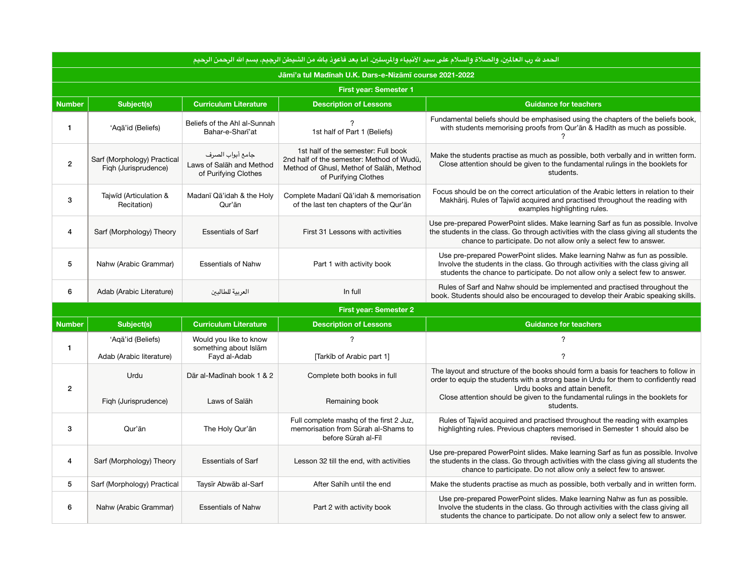| الحمد لله رب العالمين، والصلاة والسلام على سيد الأنبياء والمرسلين. أما بعد فأعوذ بالله من الشيطن الرجيم، بسم الله الرحمن الرحيم |                                                     |                                                                      |                                                                                                                                                      |                                                                                                                                                                                                                                                                                                |  |
|---------------------------------------------------------------------------------------------------------------------------------|-----------------------------------------------------|----------------------------------------------------------------------|------------------------------------------------------------------------------------------------------------------------------------------------------|------------------------------------------------------------------------------------------------------------------------------------------------------------------------------------------------------------------------------------------------------------------------------------------------|--|
| Jāmi'a tul Madīnah U.K. Dars-e-Nizāmī course 2021-2022                                                                          |                                                     |                                                                      |                                                                                                                                                      |                                                                                                                                                                                                                                                                                                |  |
|                                                                                                                                 |                                                     |                                                                      | <b>First year: Semester 1</b>                                                                                                                        |                                                                                                                                                                                                                                                                                                |  |
| <b>Number</b>                                                                                                                   | <b>Subject(s)</b>                                   | <b>Curriculum Literature</b>                                         | <b>Description of Lessons</b>                                                                                                                        | <b>Guidance for teachers</b>                                                                                                                                                                                                                                                                   |  |
| 1                                                                                                                               | 'Aqā'id (Beliefs)                                   | Beliefs of the Ahl al-Sunnah<br>Bahar-e-Shari'at                     | 1st half of Part 1 (Beliefs)                                                                                                                         | Fundamental beliefs should be emphasised using the chapters of the beliefs book,<br>with students memorising proofs from Qur'an & Hadith as much as possible.                                                                                                                                  |  |
| $\overline{\mathbf{c}}$                                                                                                         | Sarf (Morphology) Practical<br>Figh (Jurisprudence) | جامع أبواب الصرف<br>Laws of Salah and Method<br>of Purifying Clothes | 1st half of the semester: Full book<br>2nd half of the semester: Method of Wudū,<br>Method of Ghusl, Methof of Salah, Method<br>of Purifying Clothes | Make the students practise as much as possible, both verbally and in written form.<br>Close attention should be given to the fundamental rulings in the booklets for<br>students.                                                                                                              |  |
| 3                                                                                                                               | Tajwīd (Articulation &<br>Recitation)               | Madanī Qā'idah & the Holy<br>Qur'ān                                  | Complete Madanī Qā'idah & memorisation<br>of the last ten chapters of the Qur'an                                                                     | Focus should be on the correct articulation of the Arabic letters in relation to their<br>Makhārij. Rules of Tajwīd acquired and practised throughout the reading with<br>examples highlighting rules.                                                                                         |  |
| 4                                                                                                                               | Sarf (Morphology) Theory                            | <b>Essentials of Sarf</b>                                            | First 31 Lessons with activities                                                                                                                     | Use pre-prepared PowerPoint slides. Make learning Sarf as fun as possible. Involve<br>the students in the class. Go through activities with the class giving all students the<br>chance to participate. Do not allow only a select few to answer.                                              |  |
| 5                                                                                                                               | Nahw (Arabic Grammar)                               | <b>Essentials of Nahw</b>                                            | Part 1 with activity book                                                                                                                            | Use pre-prepared PowerPoint slides. Make learning Nahw as fun as possible.<br>Involve the students in the class. Go through activities with the class giving all<br>students the chance to participate. Do not allow only a select few to answer.                                              |  |
| 6                                                                                                                               | Adab (Arabic Literature)                            | العربية للطالبين                                                     | In full                                                                                                                                              | Rules of Sarf and Nahw should be implemented and practised throughout the<br>book. Students should also be encouraged to develop their Arabic speaking skills.                                                                                                                                 |  |
|                                                                                                                                 |                                                     |                                                                      | <b>First year: Semester 2</b>                                                                                                                        |                                                                                                                                                                                                                                                                                                |  |
| <b>Number</b>                                                                                                                   | <b>Subject(s)</b>                                   | <b>Curriculum Literature</b>                                         | <b>Description of Lessons</b>                                                                                                                        | <b>Guidance for teachers</b>                                                                                                                                                                                                                                                                   |  |
| $\mathbf{1}$                                                                                                                    | 'Aqa'id (Beliefs)<br>Adab (Arabic literature)       | Would you like to know<br>something about Islām<br>Fayd al-Adab      | $\overline{?}$<br>[Tarkib of Arabic part 1]                                                                                                          | 7                                                                                                                                                                                                                                                                                              |  |
| $\overline{c}$                                                                                                                  | Urdu                                                | Dār al-Madīnah book 1 & 2                                            | Complete both books in full                                                                                                                          | The layout and structure of the books should form a basis for teachers to follow in<br>order to equip the students with a strong base in Urdu for them to confidently read<br>Urdu books and attain benefit.<br>Close attention should be given to the fundamental rulings in the booklets for |  |
|                                                                                                                                 | Figh (Jurisprudence)                                | Laws of Salāh                                                        | Remaining book                                                                                                                                       | students.                                                                                                                                                                                                                                                                                      |  |
| 3                                                                                                                               | Qur'ān                                              | The Holy Qur'an                                                      | Full complete mashq of the first 2 Juz,<br>memorisation from Sūrah al-Shams to<br>before Sürah al-Fil                                                | Rules of Tajwid acquired and practised throughout the reading with examples<br>highlighting rules. Previous chapters memorised in Semester 1 should also be<br>revised.                                                                                                                        |  |
| 4                                                                                                                               | Sarf (Morphology) Theory                            | <b>Essentials of Sarf</b>                                            | Lesson 32 till the end, with activities                                                                                                              | Use pre-prepared PowerPoint slides. Make learning Sarf as fun as possible. Involve<br>the students in the class. Go through activities with the class giving all students the<br>chance to participate. Do not allow only a select few to answer.                                              |  |
| $5\phantom{.0}$                                                                                                                 | Sarf (Morphology) Practical                         | Taysīr Abwāb al-Sarf                                                 | After Sahīh until the end                                                                                                                            | Make the students practise as much as possible, both verbally and in written form.                                                                                                                                                                                                             |  |
| 6                                                                                                                               | Nahw (Arabic Grammar)                               | <b>Essentials of Nahw</b>                                            | Part 2 with activity book                                                                                                                            | Use pre-prepared PowerPoint slides. Make learning Nahw as fun as possible.<br>Involve the students in the class. Go through activities with the class giving all<br>students the chance to participate. Do not allow only a select few to answer.                                              |  |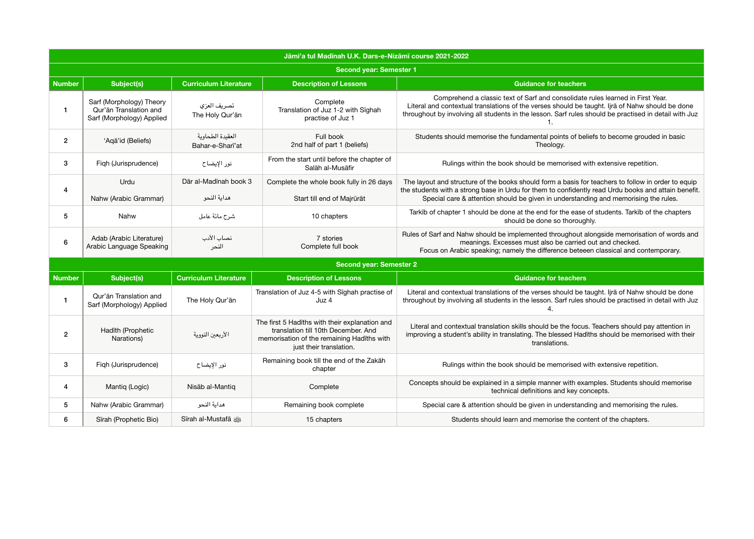| Jāmi'a tul Madīnah U.K. Dars-e-Nizāmī course 2021-2022 |                                                                                 |                                      |                                                                                                                                                                |                                                                                                                                                                                                                                                                                                  |  |  |  |
|--------------------------------------------------------|---------------------------------------------------------------------------------|--------------------------------------|----------------------------------------------------------------------------------------------------------------------------------------------------------------|--------------------------------------------------------------------------------------------------------------------------------------------------------------------------------------------------------------------------------------------------------------------------------------------------|--|--|--|
|                                                        | <b>Second year: Semester 1</b>                                                  |                                      |                                                                                                                                                                |                                                                                                                                                                                                                                                                                                  |  |  |  |
| Number                                                 | <b>Subject(s)</b><br><b>Curriculum Literature</b>                               |                                      | <b>Description of Lessons</b>                                                                                                                                  | <b>Guidance for teachers</b>                                                                                                                                                                                                                                                                     |  |  |  |
| 1                                                      | Sarf (Morphology) Theory<br>Qur'ān Translation and<br>Sarf (Morphology) Applied | تصريف العزي<br>The Holy Qur'an       | Complete<br>Translation of Juz 1-2 with Sighah<br>practise of Juz 1                                                                                            | Comprehend a classic text of Sarf and consolidate rules learned in First Year.<br>Literal and contextual translations of the verses should be taught. Ijra of Nahw should be done<br>throughout by involving all students in the lesson. Sarf rules should be practised in detail with Juz       |  |  |  |
| $\overline{2}$                                         | 'Aqa'id (Beliefs)                                                               | العقيدة الطحاوية<br>Bahar-e-Shari'at | Full book<br>2nd half of part 1 (beliefs)                                                                                                                      | Students should memorise the fundamental points of beliefs to become grouded in basic<br>Theology.                                                                                                                                                                                               |  |  |  |
| 3                                                      | Figh (Jurisprudence)                                                            | نور الإيضاح                          | From the start until before the chapter of<br>Salāh al-Musāfir                                                                                                 | Rulings within the book should be memorised with extensive repetition.                                                                                                                                                                                                                           |  |  |  |
| 4                                                      | Urdu<br>Nahw (Arabic Grammar)                                                   | Dār al-Madīnah book 3<br>هداية النحو | Complete the whole book fully in 26 days<br>Start till end of Majrūrāt                                                                                         | The layout and structure of the books should form a basis for teachers to follow in order to equip<br>the students with a strong base in Urdu for them to confidently read Urdu books and attain benefit.<br>Special care & attention should be given in understanding and memorising the rules. |  |  |  |
| 5                                                      | Nahw                                                                            | شرح مائة عامل                        | 10 chapters                                                                                                                                                    | Tarkib of chapter 1 should be done at the end for the ease of students. Tarkib of the chapters<br>should be done so thoroughly.                                                                                                                                                                  |  |  |  |
| 6                                                      | Adab (Arabic Literature)<br>Arabic Language Speaking                            | نصاب الأدب<br>النحر                  | 7 stories<br>Complete full book                                                                                                                                | Rules of Sarf and Nahw should be implemented throughout alongside memorisation of words and<br>meanings. Excesses must also be carried out and checked.<br>Focus on Arabic speaking; namely the difference beteeen classical and contemporary.                                                   |  |  |  |
|                                                        |                                                                                 |                                      | <b>Second year: Semester 2</b>                                                                                                                                 |                                                                                                                                                                                                                                                                                                  |  |  |  |
| <b>Number</b>                                          | Subject(s)                                                                      | <b>Curriculum Literature</b>         | <b>Description of Lessons</b>                                                                                                                                  | <b>Guidance for teachers</b>                                                                                                                                                                                                                                                                     |  |  |  |
|                                                        | Qur'ān Translation and<br>Sarf (Morphology) Applied                             | The Holy Qur'an                      | Translation of Juz 4-5 with Sīghah practise of<br>Juz 4                                                                                                        | Literal and contextual translations of the verses should be taught. Ijra of Nahw should be done<br>throughout by involving all students in the lesson. Sarf rules should be practised in detail with Juz                                                                                         |  |  |  |
| $\mathbf{2}$                                           | Hadīth (Prophetic<br>Narations)                                                 | الأربعين النووية                     | The first 5 Hadīths with their explanation and<br>translation till 10th December. And<br>memorisation of the remaining Hadīths with<br>just their translation. | Literal and contextual translation skills should be the focus. Teachers should pay attention in<br>improving a student's ability in translating. The blessed Hadīths should be memorised with their<br>translations.                                                                             |  |  |  |
| 3                                                      | Figh (Jurisprudence)                                                            | نور الإيضاح                          | Remaining book till the end of the Zakāh<br>chapter                                                                                                            | Rulings within the book should be memorised with extensive repetition.                                                                                                                                                                                                                           |  |  |  |
| 4                                                      | Mantiq (Logic)                                                                  | Nisāb al-Mantiq                      | Complete                                                                                                                                                       | Concepts should be explained in a simple manner with examples. Students should memorise<br>technical definitions and key concepts.                                                                                                                                                               |  |  |  |
| 5 <sup>5</sup>                                         | Nahw (Arabic Grammar)                                                           | هداية النحو                          | Remaining book complete                                                                                                                                        | Special care & attention should be given in understanding and memorising the rules.                                                                                                                                                                                                              |  |  |  |
| 6                                                      | Sīrah (Prophetic Bio)                                                           | Sīrah al-Mustafā                     | 15 chapters                                                                                                                                                    | Students should learn and memorise the content of the chapters.                                                                                                                                                                                                                                  |  |  |  |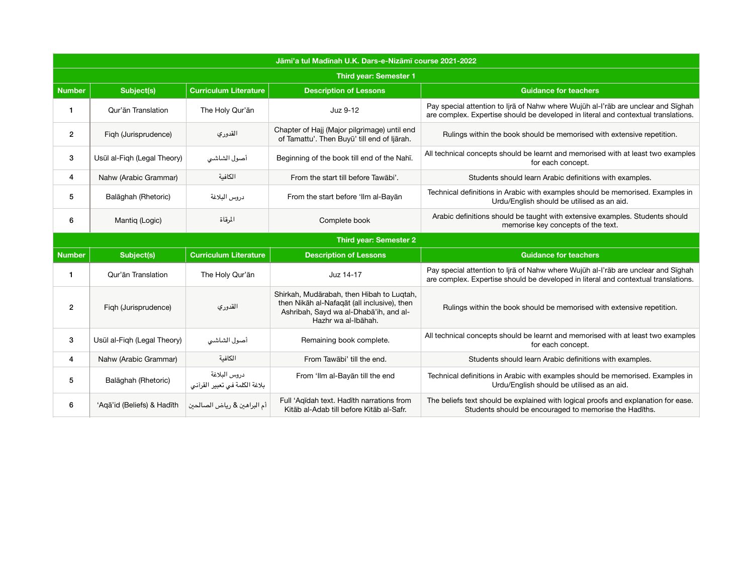| Jāmi'a tul Madīnah U.K. Dars-e-Nizāmī course 2021-2022 |                               |                                               |                                                                                                                                                           |                                                                                                                                                                         |  |  |
|--------------------------------------------------------|-------------------------------|-----------------------------------------------|-----------------------------------------------------------------------------------------------------------------------------------------------------------|-------------------------------------------------------------------------------------------------------------------------------------------------------------------------|--|--|
| <b>Third year: Semester 1</b>                          |                               |                                               |                                                                                                                                                           |                                                                                                                                                                         |  |  |
| <b>Number</b>                                          | <b>Subject(s)</b>             | <b>Curriculum Literature</b>                  | <b>Description of Lessons</b>                                                                                                                             | <b>Guidance for teachers</b>                                                                                                                                            |  |  |
| 1                                                      | Qur'ān Translation            | The Holy Qur'an                               | Juz 9-12                                                                                                                                                  | Pay special attention to Ijrā of Nahw where Wujūh al-I'rāb are unclear and Sīghah<br>are complex. Expertise should be developed in literal and contextual translations. |  |  |
| $\overline{2}$                                         | Figh (Jurisprudence)          | القدوري                                       | Chapter of Hajj (Major pilgrimage) until end<br>of Tamattu'. Then Buyū' till end of ljārah.                                                               | Rulings within the book should be memorised with extensive repetition.                                                                                                  |  |  |
| 3                                                      | Usūl al-Fiqh (Legal Theory)   | أصول الشاشى                                   | Beginning of the book till end of the Nahī.                                                                                                               | All technical concepts should be learnt and memorised with at least two examples<br>for each concept.                                                                   |  |  |
| 4                                                      | Nahw (Arabic Grammar)         | الكافية                                       | From the start till before Tawābi'.                                                                                                                       | Students should learn Arabic definitions with examples.                                                                                                                 |  |  |
| 5                                                      | Balāghah (Rhetoric)           | دروس البلاغة                                  | From the start before 'Ilm al-Bayan                                                                                                                       | Technical definitions in Arabic with examples should be memorised. Examples in<br>Urdu/English should be utilised as an aid.                                            |  |  |
| 6                                                      | Mantiq (Logic)                | المرقاة                                       | Complete book                                                                                                                                             | Arabic definitions should be taught with extensive examples. Students should<br>memorise key concepts of the text.                                                      |  |  |
|                                                        | <b>Third year: Semester 2</b> |                                               |                                                                                                                                                           |                                                                                                                                                                         |  |  |
| <b>Number</b>                                          | Subject(s)                    | <b>Curriculum Literature</b>                  | <b>Description of Lessons</b>                                                                                                                             | <b>Guidance for teachers</b>                                                                                                                                            |  |  |
| $\mathbf{1}$                                           | Qur'ān Translation            | The Holy Qur'an                               | Juz 14-17                                                                                                                                                 | Pay special attention to Ijra of Nahw where Wujūh al-I'rab are unclear and Sighah<br>are complex. Expertise should be developed in literal and contextual translations. |  |  |
| $\overline{c}$                                         | Figh (Jurisprudence)          | القدوري                                       | Shirkah, Mudārabah, then Hibah to Lugtah,<br>then Nikāh al-Nafaqāt (all inclusive), then<br>Ashribah, Sayd wa al-Dhaba'ih, and al-<br>Hazhr wa al-Ibāhah. | Rulings within the book should be memorised with extensive repetition.                                                                                                  |  |  |
| 3                                                      | Usūl al-Fiqh (Legal Theory)   | أصول الشاشى                                   | Remaining book complete.                                                                                                                                  | All technical concepts should be learnt and memorised with at least two examples<br>for each concept.                                                                   |  |  |
| 4                                                      |                               |                                               |                                                                                                                                                           |                                                                                                                                                                         |  |  |
|                                                        | Nahw (Arabic Grammar)         | الكافىة                                       | From Tawābi' till the end.                                                                                                                                | Students should learn Arabic definitions with examples.                                                                                                                 |  |  |
| 5                                                      | Balāghah (Rhetoric)           | دروس البلاغة<br>بلاغة الكلمة فى تعبير القرآنى | From 'Ilm al-Bayan till the end                                                                                                                           | Technical definitions in Arabic with examples should be memorised. Examples in<br>Urdu/English should be utilised as an aid.                                            |  |  |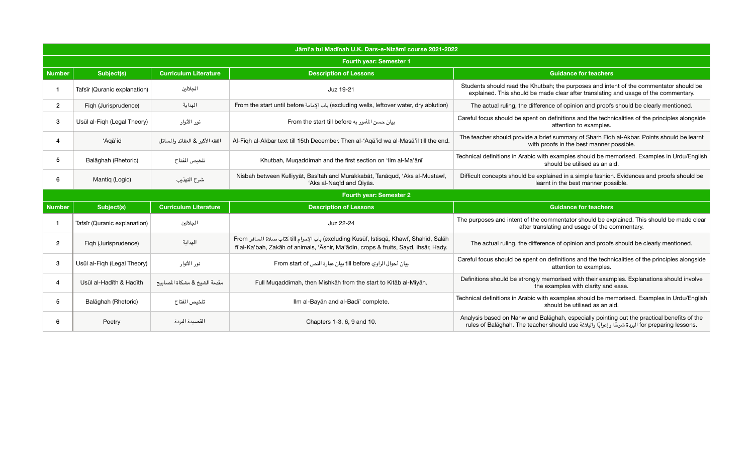on definitions and the technicalities of the principles alongside attention to examples.

brief summary of Sharh Fiqh al-Akbar. Points should be learnt proofs in the best manner possible.

with examples should be memorised. Examples in Urdu/English should be utilised as an aid.

explained in a simple fashion. Evidences and proofs should be learnt in the best manner possible.

## **Guidance for teachers**

commentator should be explained. This should be made clear anslating and usage of the commentary.

ference of opinion and proofs should be clearly mentioned.

| Jāmi'a tul Madīnah U.K. Dars-e-Nizāmī course 2021-2022 |                                |                                 |                                                                                                                                                                                |                                                           |  |  |
|--------------------------------------------------------|--------------------------------|---------------------------------|--------------------------------------------------------------------------------------------------------------------------------------------------------------------------------|-----------------------------------------------------------|--|--|
|                                                        | <b>Fourth year: Semester 1</b> |                                 |                                                                                                                                                                                |                                                           |  |  |
| <b>Number</b>                                          | <b>Subject(s)</b>              | <b>Curriculum Literature</b>    | <b>Description of Lessons</b>                                                                                                                                                  |                                                           |  |  |
| $\mathbf 1$                                            | Tafsīr (Quranic explanation)   | الجلالين                        | Juz 19-21                                                                                                                                                                      | Students should read the Kh<br>explained. This should be  |  |  |
| $\overline{2}$                                         | Figh (Jurisprudence)           | الهداية                         | From the start until before باب الإمامة (excluding wells, leftover water, dry ablution)                                                                                        | The actual ruling, the diffe                              |  |  |
| 3                                                      | Usūl al-Figh (Legal Theory)    | نور الأنوار                     | From the start till before بيان حسن المأمور به                                                                                                                                 | Careful focus should be spent                             |  |  |
| 4                                                      | 'Aqa'id                        | الفقه الأكبر & العقائد والمسائل | Al-Fiqh al-Akbar text till 15th December. Then al-'Aqa'id wa al-Masa'il till the end.                                                                                          | The teacher should provide a<br>with                      |  |  |
| $\sqrt{5}$                                             | Balāghah (Rhetoric)            | تلخيص المفتاح                   | Khutbah, Muqaddimah and the first section on 'Ilm al-Ma'anī                                                                                                                    | Technical definitions in Arabic                           |  |  |
| 6                                                      | Mantiq (Logic)                 | شرح التهذيب                     | Nisbah between Kulliyyat, Basitah and Murakkabat, Tanaqud, 'Aks al-Mustawi,<br>'Aks al-Naqīd and Qiyās.                                                                        | Difficult concepts should be a                            |  |  |
|                                                        | <b>Fourth year: Semester 2</b> |                                 |                                                                                                                                                                                |                                                           |  |  |
| <b>Number</b>                                          | <b>Subject(s)</b>              | <b>Curriculum Literature</b>    | <b>Description of Lessons</b>                                                                                                                                                  |                                                           |  |  |
| $\mathbf{1}$                                           | Tafsīr (Quranic explanation)   | الجلالين                        | Juz 22-24                                                                                                                                                                      | The purposes and intent of the<br>after tra               |  |  |
| $\overline{2}$                                         | Figh (Jurisprudence)           | الهداية                         | From باب الإحرام النا كتاب صلاة المسافر (excluding Kusūf, Istisqā, Khawf, Shahīd, Salāh<br>fī al-Ka'bah, Zakāh of animals, 'Āshir, Ma'ādin, crops & fruits, Sayd, Ihsār, Hady. | The actual ruling, the diffe                              |  |  |
| 3                                                      | Usūl al-Figh (Legal Theory)    | نور الأنوار                     | بيان أحوال الراوي till before بيان عبارة النص From start of                                                                                                                    | Careful focus should be spent                             |  |  |
| 4                                                      | Usul al-Hadīth & Hadīth        | مقدمة الشيخ & مشكاة المصابيح    | Full Muqaddimah, then Mishkāh from the start to Kitāb al-Miyāh.                                                                                                                | Definitions should be strongly                            |  |  |
| 5                                                      | Balāghah (Rhetoric)            | تلخيص المفتاح                   | Ilm al-Bayan and al-Badī' complete.                                                                                                                                            | Technical definitions in Arabic                           |  |  |
| 6                                                      | Poetry                         | القصيدة البردة                  | Chapters 1-3, 6, 9 and 10.                                                                                                                                                     | Analysis based on Nahw and<br>rules of Balaghah. The tead |  |  |

## **Guidance for teachers**

iutbah; the purposes and intent of the commentator should be made clear after translating and usage of the commentary.

erence of opinion and proofs should be clearly mentioned.

on definitions and the technicalities of the principles alongside attention to examples.

y memorised with their examples. Explanations should involve he examples with clarity and ease.

with examples should be memorised. Examples in Urdu/English should be utilised as an aid.

Balaghah, especially pointing out the practical benefits of the rules of Balāghah. The teacher should use البردة شرحًا وإعرابًا والبلاغة المعافة for preparing lessons.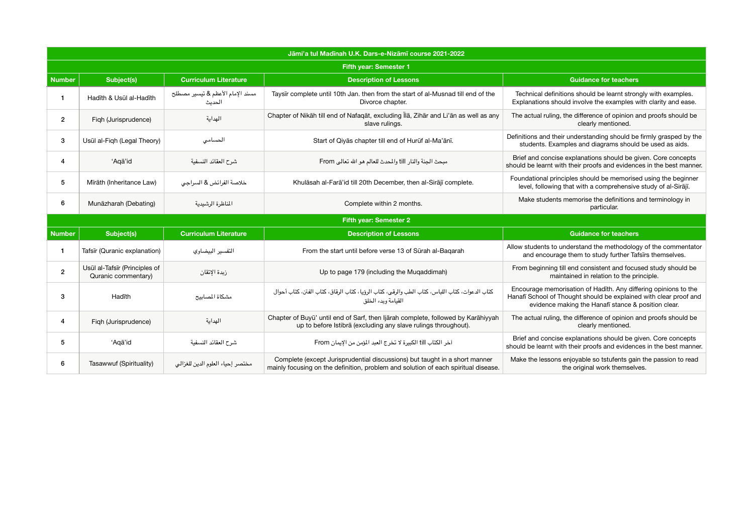- ould be learnt strongly with examples. Ive the examples with clarity and ease.
- erence of opinion and proofs should be early mentioned.
- standing should be firmly grasped by the d diagrams should be used as aids.
- ations should be given. Core concepts proofs and evidences in the best manner.
- nould be memorised using the beginner th a comprehensive study of al-Sirājī.
- ise the definitions and terminology in particular.

- nd the methodology of the commentator to study further Tafsīrs themselves.
- in relation to the principle.
- of Hadīth. Any differing opinions to the should be explained with clear proof and e Hanafī stance & position clear.
- erence of opinion and proofs should be early mentioned.
- ations should be given. Core concepts proofs and evidences in the best manner.
- le so tstufents gain the passion to read inal work themselves.

|                               | Jāmi'a tul Madīnah U.K. Dars-e-Nizāmī course 2021-2022 |                                            |                                                                                                                                                                  |                                                                                                                                                                                            |  |  |
|-------------------------------|--------------------------------------------------------|--------------------------------------------|------------------------------------------------------------------------------------------------------------------------------------------------------------------|--------------------------------------------------------------------------------------------------------------------------------------------------------------------------------------------|--|--|
| <b>Fifth year: Semester 1</b> |                                                        |                                            |                                                                                                                                                                  |                                                                                                                                                                                            |  |  |
| Number                        | <b>Subject(s)</b>                                      | <b>Curriculum Literature</b>               | <b>Description of Lessons</b>                                                                                                                                    | <b>Guidance for teachers</b>                                                                                                                                                               |  |  |
|                               | Hadīth & Usūl al-Hadīth                                | مسند الإمام الأعظم & تيسير مصطلح<br>الحدىث | Taysir complete until 10th Jan. then from the start of al-Musnad till end of the<br>Divorce chapter.                                                             | Technical definitions should be learnt strongly with examples.<br>Explanations should involve the examples with clarity and ease.                                                          |  |  |
| $\mathbf{2}$                  | Figh (Jurisprudence)                                   | الهداية                                    | Chapter of Nikāh till end of Nafaqāt, excluding Īlā, Zihār and Li'ān as well as any<br>slave rulings.                                                            | The actual ruling, the difference of opinion and proofs should be<br>clearly mentioned.                                                                                                    |  |  |
| $\mathbf{3}$                  | Usūl al-Fiqh (Legal Theory)                            | الحسامى                                    | Start of Qiyas chapter till end of Huruf al-Ma'anī.                                                                                                              | Definitions and their understanding should be firmly grasped by the<br>students. Examples and diagrams should be used as aids.                                                             |  |  |
| 4                             | 'Aqa'id                                                | شرح العقائد النسفية                        | مبحث الجنة والنار till والمحدث للعالم هو الله تعالى From                                                                                                         | Brief and concise explanations should be given. Core concepts<br>should be learnt with their proofs and evidences in the best manne                                                        |  |  |
| 5                             | Mīrāth (Inheritance Law)                               | خلاصة الفرائض & السراجى                    | Khulāsah al-Farā'id till 20th December, then al-Sirājī complete.                                                                                                 | Foundational principles should be memorised using the beginner<br>level, following that with a comprehensive study of al-Sirājī.                                                           |  |  |
| 6                             | Munāzharah (Debating)                                  | المناظرة الرشيدية                          | Complete within 2 months.                                                                                                                                        | Make students memorise the definitions and terminology in<br>particular.                                                                                                                   |  |  |
|                               |                                                        |                                            | <b>Fifth year: Semester 2</b>                                                                                                                                    |                                                                                                                                                                                            |  |  |
| <b>Number</b>                 | <b>Subject(s)</b>                                      | <b>Curriculum Literature</b>               | <b>Description of Lessons</b>                                                                                                                                    | <b>Guidance for teachers</b>                                                                                                                                                               |  |  |
| $\mathbf{1}$                  | Tafsīr (Quranic explanation)                           | التفسير البيضاوي                           | From the start until before verse 13 of Sūrah al-Bagarah                                                                                                         | Allow students to understand the methodology of the commentate<br>and encourage them to study further Tafsirs themselves.                                                                  |  |  |
| $\overline{2}$                | Usūl al-Tafsīr (Principles of<br>Quranic commentary)   | زبدة الإتقان                               | Up to page 179 (including the Muqaddimah)                                                                                                                        | From beginning till end consistent and focused study should be<br>maintained in relation to the principle.                                                                                 |  |  |
| 3                             | Hadīth                                                 | مشكاة المسابيح                             | كتاب الدعوات، كتاب اللباس، كتاب الطب والرقبي، كتاب الرؤيا، كتاب الرقاق، كتاب الفتن، كتاب أحوال<br>القيامة ويدء الخلق                                             | Encourage memorisation of Hadīth. Any differing opinions to the<br>Hanafī School of Thought should be explained with clear proof an<br>evidence making the Hanafi stance & position clear. |  |  |
| 4                             | Figh (Jurisprudence)                                   | الهداية                                    | Chapter of Buyū' until end of Sarf, then Ijarah complete, followed by Karahiyyah<br>up to before Istibra (excluding any slave rulings throughout).               | The actual ruling, the difference of opinion and proofs should be<br>clearly mentioned.                                                                                                    |  |  |
| 5                             | 'Aqa'id                                                | شرح العقائد النسفية                        | آخر الكتاب till الكبيرة لا تخرج العبد المؤمن من الإيمان From                                                                                                     | Brief and concise explanations should be given. Core concepts<br>should be learnt with their proofs and evidences in the best manne                                                        |  |  |
| 6                             | Tasawwuf (Spirituality)                                | مختصر إحياء العلوم الدين للغزالى           | Complete (except Jurisprudential discussions) but taught in a short manner<br>mainly focusing on the definition, problem and solution of each spiritual disease. | Make the lessons enjoyable so tstufents gain the passion to read<br>the original work themselves.                                                                                          |  |  |